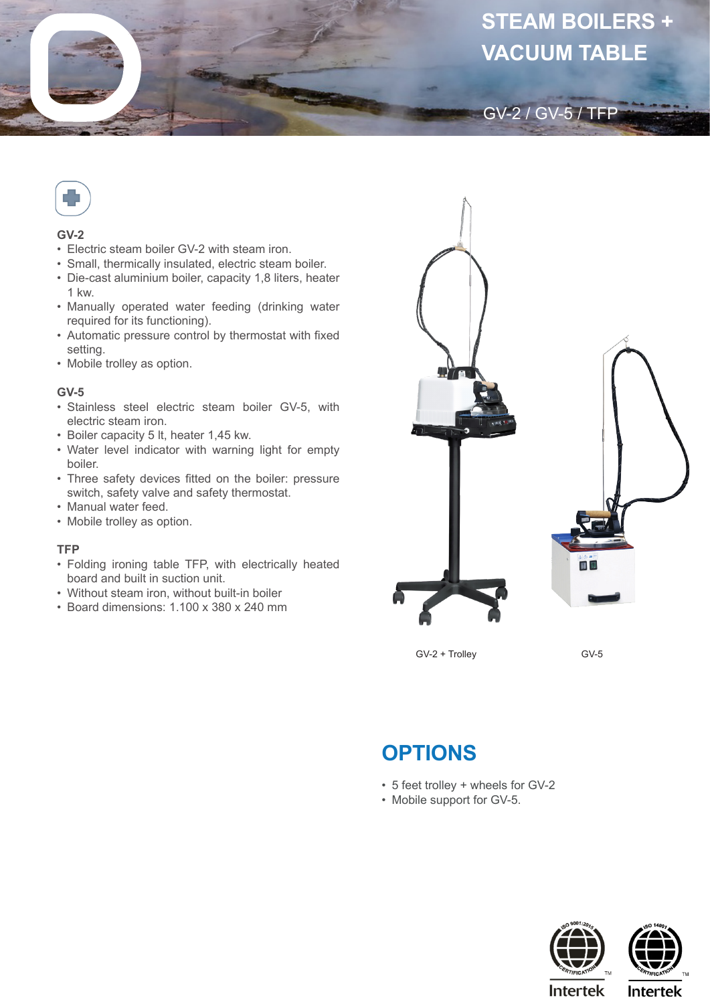



## **GV-2**

- Electric steam boiler GV-2 with steam iron.
- Small, thermically insulated, electric steam boiler.
- Die-cast aluminium boiler, capacity 1,8 liters, heater 1 kw.
- Manually operated water feeding (drinking water required for its functioning).
- Automatic pressure control by thermostat with fixed setting.
- Mobile trolley as option.

## **GV-5**

- Stainless steel electric steam boiler GV-5, with electric steam iron.
- Boiler capacity 5 lt, heater 1,45 kw.
- Water level indicator with warning light for empty boiler.
- Three safety devices fitted on the boiler: pressure switch, safety valve and safety thermostat.
- Manual water feed.
- Mobile trolley as option.

## **TFP**

- Folding ironing table TFP, with electrically heated board and built in suction unit.
- Without steam iron, without built-in boiler
- Board dimensions: 1.100 x 380 x 240 mm



GV-2 / GV-5 / TFP

GV-2 + Trolley

GV-5

## **OPTIONS**

- 5 feet trolley + wheels for GV-2
- Mobile support for GV-5.